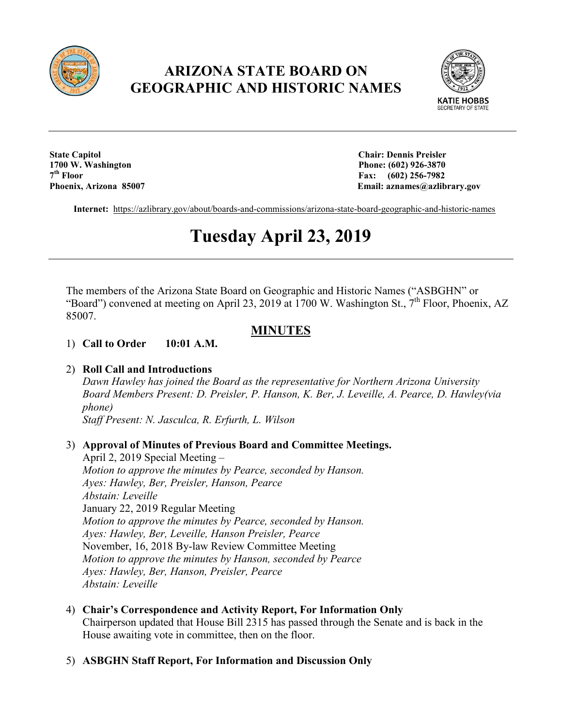

## **ARIZONA STATE BOARD ON GEOGRAPHIC AND HISTORIC NAMES**



**State Capitol Chair: Dennis Preisler 1700 W. Washington Phone: (602) 926-3870**<br> **1700 W. Washington** Phone: (602) 926-3870<br> **17th** Place: (602) 256-7982 **7th Floor Fax: (602) 256-7982**

Email: aznames@azlibrary.gov

**Internet:** <https://azlibrary.gov/about/boards-and-commissions/arizona-state-board-geographic-and-historic-names>

# **Tuesday April 23, 2019**

The members of the Arizona State Board on Geographic and Historic Names ("ASBGHN" or "Board") convened at meeting on April 23, 2019 at 1700 W. Washington St.,  $7<sup>th</sup>$  Floor, Phoenix, AZ 85007.

### **MINUTES**

1) **Call to Order 10:01 A.M.** 

#### 2) **Roll Call and Introductions**

*Dawn Hawley has joined the Board as the representative for Northern Arizona University Board Members Present: D. Preisler, P. Hanson, K. Ber, J. Leveille, A. Pearce, D. Hawley(via phone)*

*Staff Present: N. Jasculca, R. Erfurth, L. Wilson*

#### 3) **Approval of Minutes of Previous Board and Committee Meetings.**

April 2, 2019 Special Meeting – *Motion to approve the minutes by Pearce, seconded by Hanson. Ayes: Hawley, Ber, Preisler, Hanson, Pearce Abstain: Leveille* January 22, 2019 Regular Meeting *Motion to approve the minutes by Pearce, seconded by Hanson. Ayes: Hawley, Ber, Leveille, Hanson Preisler, Pearce* November, 16, 2018 By-law Review Committee Meeting *Motion to approve the minutes by Hanson, seconded by Pearce Ayes: Hawley, Ber, Hanson, Preisler, Pearce Abstain: Leveille*

4) **Chair's Correspondence and Activity Report, For Information Only**  Chairperson updated that House Bill 2315 has passed through the Senate and is back in the House awaiting vote in committee, then on the floor.

#### 5) **ASBGHN Staff Report, For Information and Discussion Only**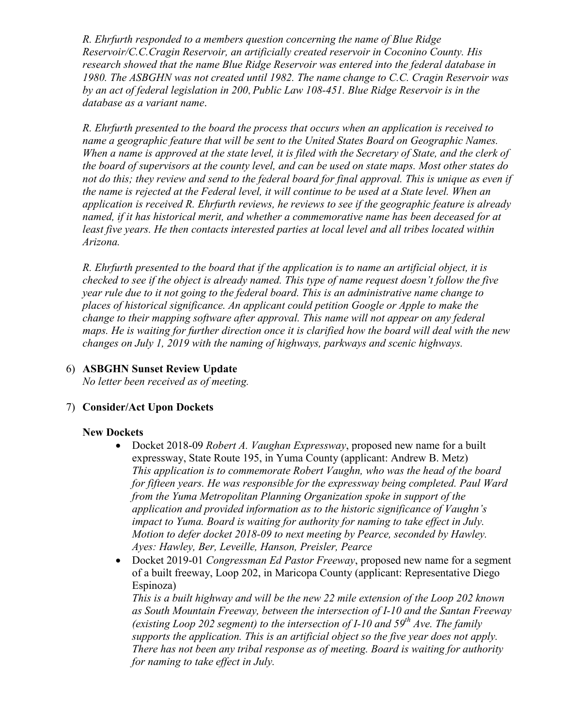*R. Ehrfurth responded to a members question concerning the name of Blue Ridge Reservoir/C.C.Cragin Reservoir, an artificially created reservoir in Coconino County. His research showed that the name Blue Ridge Reservoir was entered into the federal database in 1980. The ASBGHN was not created until 1982. The name change to C.C. Cragin Reservoir was by an act of federal legislation in 200*, *Public Law 108-451. Blue Ridge Reservoir is in the database as a variant name*.

*R. Ehrfurth presented to the board the process that occurs when an application is received to name a geographic feature that will be sent to the United States Board on Geographic Names. When a name is approved at the state level, it is filed with the Secretary of State, and the clerk of the board of supervisors at the county level, and can be used on state maps. Most other states do not do this; they review and send to the federal board for final approval. This is unique as even if the name is rejected at the Federal level, it will continue to be used at a State level. When an application is received R. Ehrfurth reviews, he reviews to see if the geographic feature is already named, if it has historical merit, and whether a commemorative name has been deceased for at least five years. He then contacts interested parties at local level and all tribes located within Arizona.* 

*R. Ehrfurth presented to the board that if the application is to name an artificial object, it is checked to see if the object is already named. This type of name request doesn't follow the five year rule due to it not going to the federal board. This is an administrative name change to places of historical significance. An applicant could petition Google or Apple to make the change to their mapping software after approval. This name will not appear on any federal maps. He is waiting for further direction once it is clarified how the board will deal with the new changes on July 1, 2019 with the naming of highways, parkways and scenic highways.*

6) **ASBGHN Sunset Review Update**

*No letter been received as of meeting.*

#### 7) **Consider/Act Upon Dockets**

#### **New Dockets**

- Docket 2018-09 *Robert A. Vaughan Expressway*, proposed new name for a built expressway, State Route 195, in Yuma County (applicant: Andrew B. Metz) *This application is to commemorate Robert Vaughn, who was the head of the board for fifteen years. He was responsible for the expressway being completed. Paul Ward from the Yuma Metropolitan Planning Organization spoke in support of the application and provided information as to the historic significance of Vaughn's impact to Yuma. Board is waiting for authority for naming to take effect in July. Motion to defer docket 2018-09 to next meeting by Pearce, seconded by Hawley. Ayes: Hawley, Ber, Leveille, Hanson, Preisler, Pearce*
- Docket 2019-01 *Congressman Ed Pastor Freeway*, proposed new name for a segment of a built freeway, Loop 202, in Maricopa County (applicant: Representative Diego Espinoza)

*This is a built highway and will be the new 22 mile extension of the Loop 202 known as South Mountain Freeway, between the intersection of I-10 and the Santan Freeway (existing Loop 202 segment) to the intersection of I-10 and 59th Ave. The family supports the application. This is an artificial object so the five year does not apply. There has not been any tribal response as of meeting. Board is waiting for authority for naming to take effect in July.*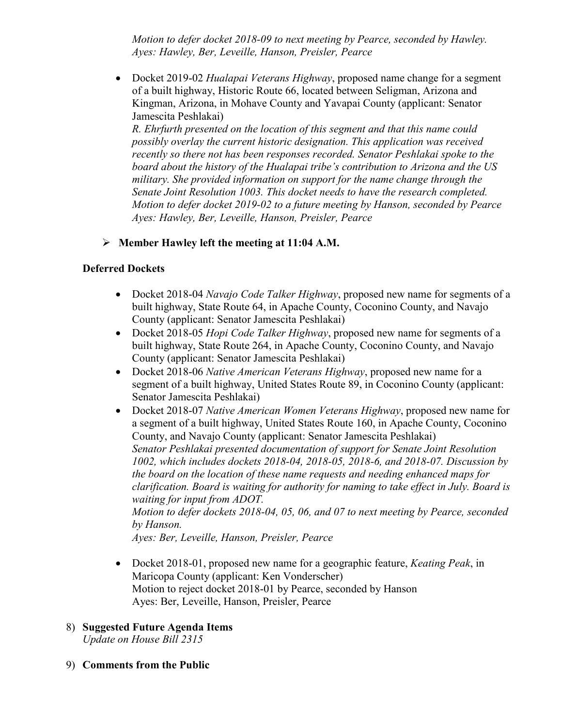*Motion to defer docket 2018-09 to next meeting by Pearce, seconded by Hawley. Ayes: Hawley, Ber, Leveille, Hanson, Preisler, Pearce*

• Docket 2019-02 *Hualapai Veterans Highway*, proposed name change for a segment of a built highway, Historic Route 66, located between Seligman, Arizona and Kingman, Arizona, in Mohave County and Yavapai County (applicant: Senator Jamescita Peshlakai)

*R. Ehrfurth presented on the location of this segment and that this name could possibly overlay the current historic designation. This application was received recently so there not has been responses recorded. Senator Peshlakai spoke to the board about the history of the Hualapai tribe's contribution to Arizona and the US military. She provided information on support for the name change through the Senate Joint Resolution 1003. This docket needs to have the research completed. Motion to defer docket 2019-02 to a future meeting by Hanson, seconded by Pearce Ayes: Hawley, Ber, Leveille, Hanson, Preisler, Pearce*

#### **Member Hawley left the meeting at 11:04 A.M.**

#### **Deferred Dockets**

- Docket 2018-04 *Navajo Code Talker Highway*, proposed new name for segments of a built highway, State Route 64, in Apache County, Coconino County, and Navajo County (applicant: Senator Jamescita Peshlakai)
- Docket 2018-05 *Hopi Code Talker Highway*, proposed new name for segments of a built highway, State Route 264, in Apache County, Coconino County, and Navajo County (applicant: Senator Jamescita Peshlakai)
- Docket 2018-06 *Native American Veterans Highway*, proposed new name for a segment of a built highway, United States Route 89, in Coconino County (applicant: Senator Jamescita Peshlakai)
- Docket 2018-07 *Native American Women Veterans Highway*, proposed new name for a segment of a built highway, United States Route 160, in Apache County, Coconino County, and Navajo County (applicant: Senator Jamescita Peshlakai) *Senator Peshlakai presented documentation of support for Senate Joint Resolution 1002, which includes dockets 2018-04, 2018-05, 2018-6, and 2018-07. Discussion by the board on the location of these name requests and needing enhanced maps for clarification. Board is waiting for authority for naming to take effect in July. Board is waiting for input from ADOT. Motion to defer dockets 2018-04, 05, 06, and 07 to next meeting by Pearce, seconded by Hanson.*

*Ayes: Ber, Leveille, Hanson, Preisler, Pearce*

- Docket 2018-01, proposed new name for a geographic feature, *Keating Peak*, in Maricopa County (applicant: Ken Vonderscher) Motion to reject docket 2018-01 by Pearce, seconded by Hanson Ayes: Ber, Leveille, Hanson, Preisler, Pearce
- 8) **Suggested Future Agenda Items** *Update on House Bill 2315*
- 9) **Comments from the Public**